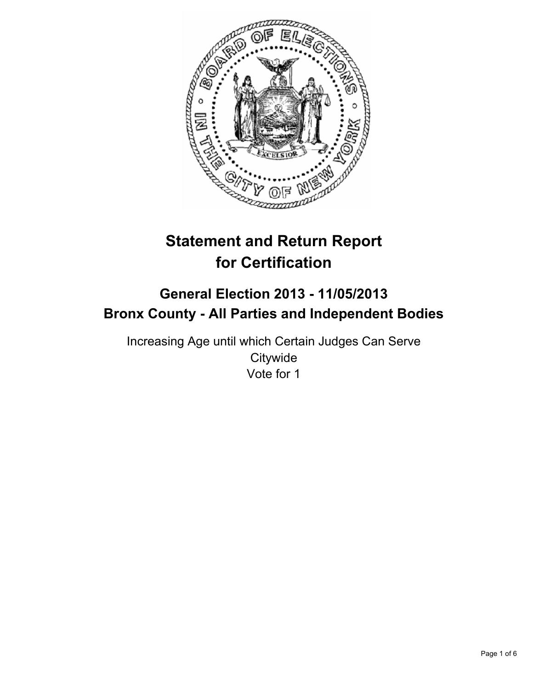

# **Statement and Return Report for Certification**

## **General Election 2013 - 11/05/2013 Bronx County - All Parties and Independent Bodies**

Increasing Age until which Certain Judges Can Serve **Citywide** Vote for 1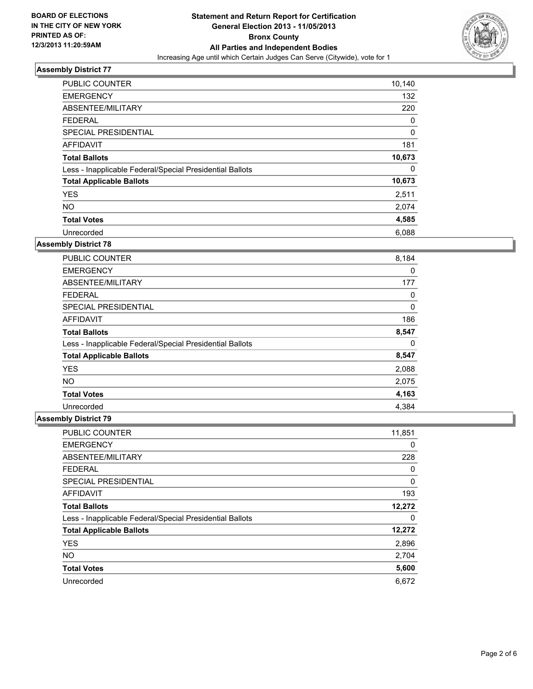

| <b>PUBLIC COUNTER</b>                                    | 10,140      |
|----------------------------------------------------------|-------------|
| <b>EMERGENCY</b>                                         | 132         |
| ABSENTEE/MILITARY                                        | 220         |
| <b>FEDERAL</b>                                           | 0           |
| SPECIAL PRESIDENTIAL                                     | $\mathbf 0$ |
| AFFIDAVIT                                                | 181         |
| <b>Total Ballots</b>                                     | 10,673      |
| Less - Inapplicable Federal/Special Presidential Ballots | 0           |
| <b>Total Applicable Ballots</b>                          | 10,673      |
| <b>YES</b>                                               | 2,511       |
| <b>NO</b>                                                | 2,074       |
| <b>Total Votes</b>                                       | 4,585       |
| Unrecorded                                               | 6,088       |

#### **Assembly District 78**

| <b>PUBLIC COUNTER</b>                                    | 8,184 |
|----------------------------------------------------------|-------|
| <b>EMERGENCY</b>                                         | 0     |
| ABSENTEE/MILITARY                                        | 177   |
| <b>FEDERAL</b>                                           | 0     |
| <b>SPECIAL PRESIDENTIAL</b>                              | 0     |
| <b>AFFIDAVIT</b>                                         | 186   |
| <b>Total Ballots</b>                                     | 8,547 |
| Less - Inapplicable Federal/Special Presidential Ballots | 0     |
| <b>Total Applicable Ballots</b>                          | 8,547 |
| <b>YES</b>                                               | 2,088 |
| <b>NO</b>                                                | 2,075 |
| <b>Total Votes</b>                                       | 4,163 |
| Unrecorded                                               | 4.384 |

| <b>PUBLIC COUNTER</b>                                    | 11,851 |
|----------------------------------------------------------|--------|
| <b>EMERGENCY</b>                                         | 0      |
| ABSENTEE/MILITARY                                        | 228    |
| <b>FEDERAL</b>                                           | 0      |
| SPECIAL PRESIDENTIAL                                     | 0      |
| AFFIDAVIT                                                | 193    |
| <b>Total Ballots</b>                                     | 12,272 |
| Less - Inapplicable Federal/Special Presidential Ballots | 0      |
| <b>Total Applicable Ballots</b>                          | 12,272 |
| <b>YES</b>                                               | 2,896  |
| <b>NO</b>                                                | 2,704  |
| <b>Total Votes</b>                                       | 5,600  |
| Unrecorded                                               | 6,672  |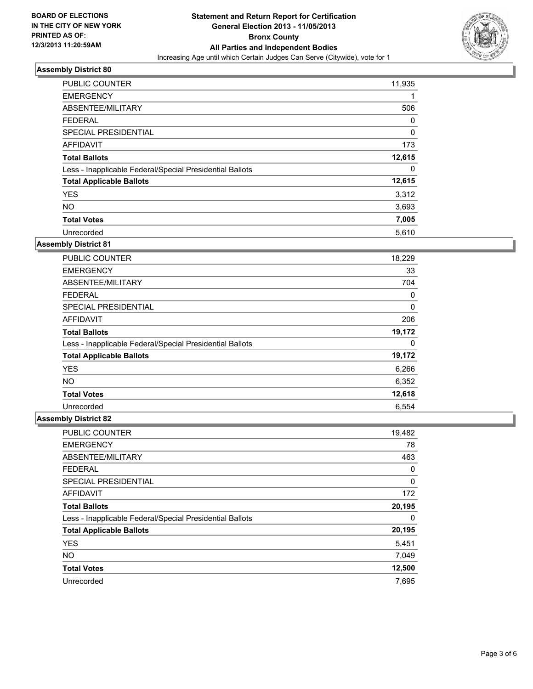

| <b>PUBLIC COUNTER</b>                                    | 11,935 |
|----------------------------------------------------------|--------|
| <b>EMERGENCY</b>                                         | 1      |
| ABSENTEE/MILITARY                                        | 506    |
| <b>FEDERAL</b>                                           | 0      |
| <b>SPECIAL PRESIDENTIAL</b>                              | 0      |
| <b>AFFIDAVIT</b>                                         | 173    |
| <b>Total Ballots</b>                                     | 12,615 |
| Less - Inapplicable Federal/Special Presidential Ballots | 0      |
| <b>Total Applicable Ballots</b>                          | 12,615 |
| <b>YES</b>                                               | 3,312  |
| <b>NO</b>                                                | 3,693  |
| <b>Total Votes</b>                                       | 7,005  |
| Unrecorded                                               | 5,610  |

#### **Assembly District 81**

| <b>PUBLIC COUNTER</b>                                    | 18,229 |
|----------------------------------------------------------|--------|
| <b>EMERGENCY</b>                                         | 33     |
| ABSENTEE/MILITARY                                        | 704    |
| <b>FEDERAL</b>                                           | 0      |
| <b>SPECIAL PRESIDENTIAL</b>                              | 0      |
| AFFIDAVIT                                                | 206    |
| <b>Total Ballots</b>                                     | 19,172 |
| Less - Inapplicable Federal/Special Presidential Ballots | 0      |
| <b>Total Applicable Ballots</b>                          | 19,172 |
| <b>YES</b>                                               | 6,266  |
| <b>NO</b>                                                | 6,352  |
| <b>Total Votes</b>                                       | 12,618 |
| Unrecorded                                               | 6,554  |

| PUBLIC COUNTER                                           | 19,482 |
|----------------------------------------------------------|--------|
| <b>EMERGENCY</b>                                         | 78     |
| ABSENTEE/MILITARY                                        | 463    |
| <b>FEDERAL</b>                                           | 0      |
| SPECIAL PRESIDENTIAL                                     | 0      |
| AFFIDAVIT                                                | 172    |
| <b>Total Ballots</b>                                     | 20,195 |
| Less - Inapplicable Federal/Special Presidential Ballots | 0      |
| <b>Total Applicable Ballots</b>                          | 20,195 |
| <b>YES</b>                                               | 5,451  |
| <b>NO</b>                                                | 7,049  |
| <b>Total Votes</b>                                       | 12,500 |
| Unrecorded                                               | 7.695  |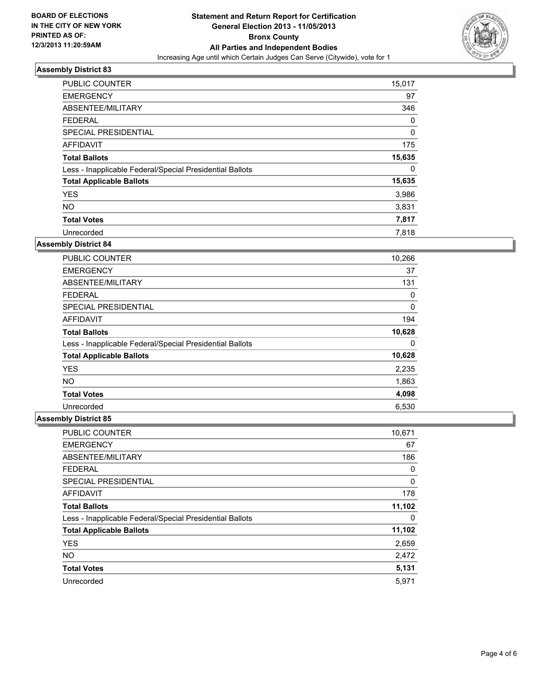

| <b>PUBLIC COUNTER</b>                                    | 15,017 |
|----------------------------------------------------------|--------|
| <b>EMERGENCY</b>                                         | 97     |
| ABSENTEE/MILITARY                                        | 346    |
| <b>FEDERAL</b>                                           | 0      |
| SPECIAL PRESIDENTIAL                                     | 0      |
| AFFIDAVIT                                                | 175    |
| <b>Total Ballots</b>                                     | 15,635 |
| Less - Inapplicable Federal/Special Presidential Ballots | 0      |
| <b>Total Applicable Ballots</b>                          | 15,635 |
| <b>YES</b>                                               | 3,986  |
| <b>NO</b>                                                | 3,831  |
| <b>Total Votes</b>                                       | 7,817  |
| Unrecorded                                               | 7.818  |

#### **Assembly District 84**

| <b>PUBLIC COUNTER</b>                                    | 10,266 |
|----------------------------------------------------------|--------|
| <b>EMERGENCY</b>                                         | 37     |
| ABSENTEE/MILITARY                                        | 131    |
| <b>FEDERAL</b>                                           | 0      |
| <b>SPECIAL PRESIDENTIAL</b>                              | 0      |
| AFFIDAVIT                                                | 194    |
| <b>Total Ballots</b>                                     | 10,628 |
| Less - Inapplicable Federal/Special Presidential Ballots | 0      |
| <b>Total Applicable Ballots</b>                          | 10,628 |
| <b>YES</b>                                               | 2,235  |
| NO.                                                      | 1,863  |
| <b>Total Votes</b>                                       | 4,098  |
| Unrecorded                                               | 6,530  |

| <b>PUBLIC COUNTER</b>                                    | 10,671 |
|----------------------------------------------------------|--------|
| <b>EMERGENCY</b>                                         | 67     |
| ABSENTEE/MILITARY                                        | 186    |
| <b>FEDERAL</b>                                           | 0      |
| SPECIAL PRESIDENTIAL                                     | 0      |
| <b>AFFIDAVIT</b>                                         | 178    |
| <b>Total Ballots</b>                                     | 11,102 |
| Less - Inapplicable Federal/Special Presidential Ballots | 0      |
| <b>Total Applicable Ballots</b>                          | 11,102 |
| <b>YES</b>                                               | 2,659  |
| <b>NO</b>                                                | 2,472  |
| <b>Total Votes</b>                                       | 5,131  |
| Unrecorded                                               | 5,971  |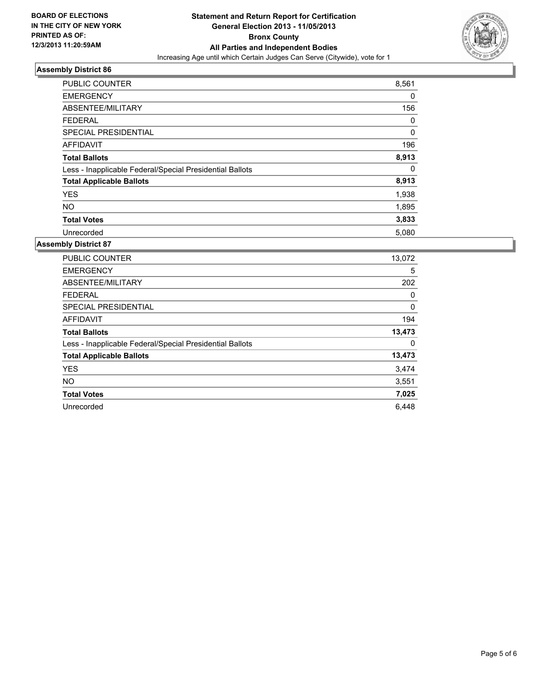

| <b>PUBLIC COUNTER</b>                                    | 8,561 |
|----------------------------------------------------------|-------|
| <b>EMERGENCY</b>                                         | 0     |
| ABSENTEE/MILITARY                                        | 156   |
| <b>FEDERAL</b>                                           | 0     |
| SPECIAL PRESIDENTIAL                                     | 0     |
| <b>AFFIDAVIT</b>                                         | 196   |
| <b>Total Ballots</b>                                     | 8,913 |
| Less - Inapplicable Federal/Special Presidential Ballots | 0     |
| <b>Total Applicable Ballots</b>                          | 8,913 |
| <b>YES</b>                                               | 1,938 |
| <b>NO</b>                                                | 1,895 |
| <b>Total Votes</b>                                       | 3,833 |
| Unrecorded                                               | 5,080 |

| <b>PUBLIC COUNTER</b>                                    | 13,072 |
|----------------------------------------------------------|--------|
| <b>EMERGENCY</b>                                         | 5      |
| ABSENTEE/MILITARY                                        | 202    |
| <b>FEDERAL</b>                                           | 0      |
| <b>SPECIAL PRESIDENTIAL</b>                              | 0      |
| <b>AFFIDAVIT</b>                                         | 194    |
| <b>Total Ballots</b>                                     | 13,473 |
| Less - Inapplicable Federal/Special Presidential Ballots | 0      |
| <b>Total Applicable Ballots</b>                          | 13,473 |
| <b>YES</b>                                               | 3,474  |
| <b>NO</b>                                                | 3,551  |
| <b>Total Votes</b>                                       | 7,025  |
| Unrecorded                                               | 6,448  |